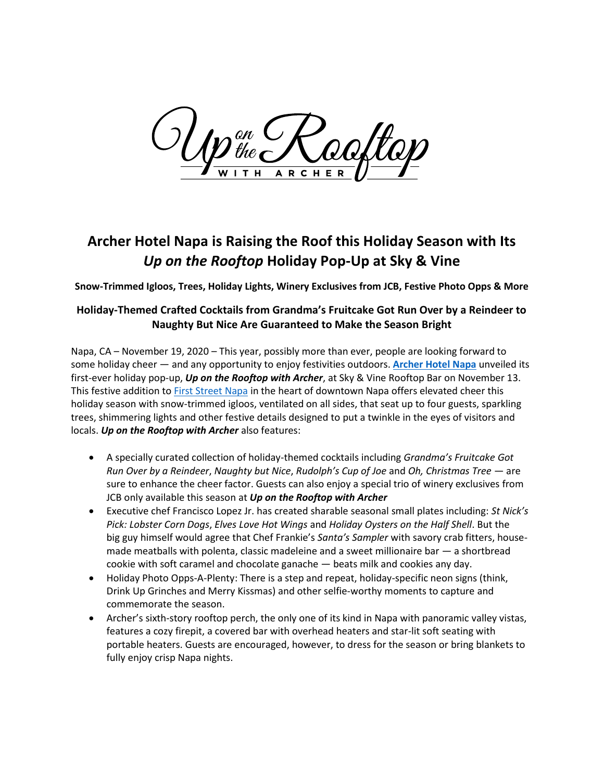) on  $\int^\mathcal{QR}_{the\,\boldsymbol\epsilon}$ 

## **Archer Hotel Napa is Raising the Roof this Holiday Season with Its** *Up on the Rooftop* **Holiday Pop-Up at Sky & Vine**

**Snow-Trimmed Igloos, Trees, Holiday Lights, Winery Exclusives from JCB, Festive Photo Opps & More**

## **Holiday-Themed Crafted Cocktails from Grandma's Fruitcake Got Run Over by a Reindeer to Naughty But Nice Are Guaranteed to Make the Season Bright**

Napa, CA – November 19, 2020 – This year, possibly more than ever, people are looking forward to some holiday cheer — and any opportunity to enjoy festivities outdoors. **[Archer Hotel Napa](http://www.archerhotel.com/napa)** unveiled its first-ever holiday pop-up, *Up on the Rooftop with Archer*, at Sky & Vine Rooftop Bar on November 13. This festive addition to [First Street Napa](https://www.firststreetnapa.com/) in the heart of downtown Napa offers elevated cheer this holiday season with snow-trimmed igloos, ventilated on all sides, that seat up to four guests, sparkling trees, shimmering lights and other festive details designed to put a twinkle in the eyes of visitors and locals. *Up on the Rooftop with Archer* also features:

- A specially curated collection of holiday-themed cocktails including *Grandma's Fruitcake Got Run Over by a Reindeer*, *Naughty but Nice*, *Rudolph's Cup of Joe* and *Oh, Christmas Tree* — are sure to enhance the cheer factor. Guests can also enjoy a special trio of winery exclusives from JCB only available this season at *Up on the Rooftop with Archer*
- Executive chef Francisco Lopez Jr. has created sharable seasonal small plates including: *St Nick's Pick: Lobster Corn Dogs*, *Elves Love Hot Wings* and *Holiday Oysters on the Half Shell*. But the big guy himself would agree that Chef Frankie's *Santa's Sampler* with savory crab fitters, housemade meatballs with polenta, classic madeleine and a sweet millionaire bar — a shortbread cookie with soft caramel and chocolate ganache — beats milk and cookies any day.
- Holiday Photo Opps-A-Plenty: There is a step and repeat, holiday-specific neon signs (think, Drink Up Grinches and Merry Kissmas) and other selfie-worthy moments to capture and commemorate the season.
- Archer's sixth-story rooftop perch, the only one of its kind in Napa with panoramic valley vistas, features a cozy firepit, a covered bar with overhead heaters and star-lit soft seating with portable heaters. Guests are encouraged, however, to dress for the season or bring blankets to fully enjoy crisp Napa nights.